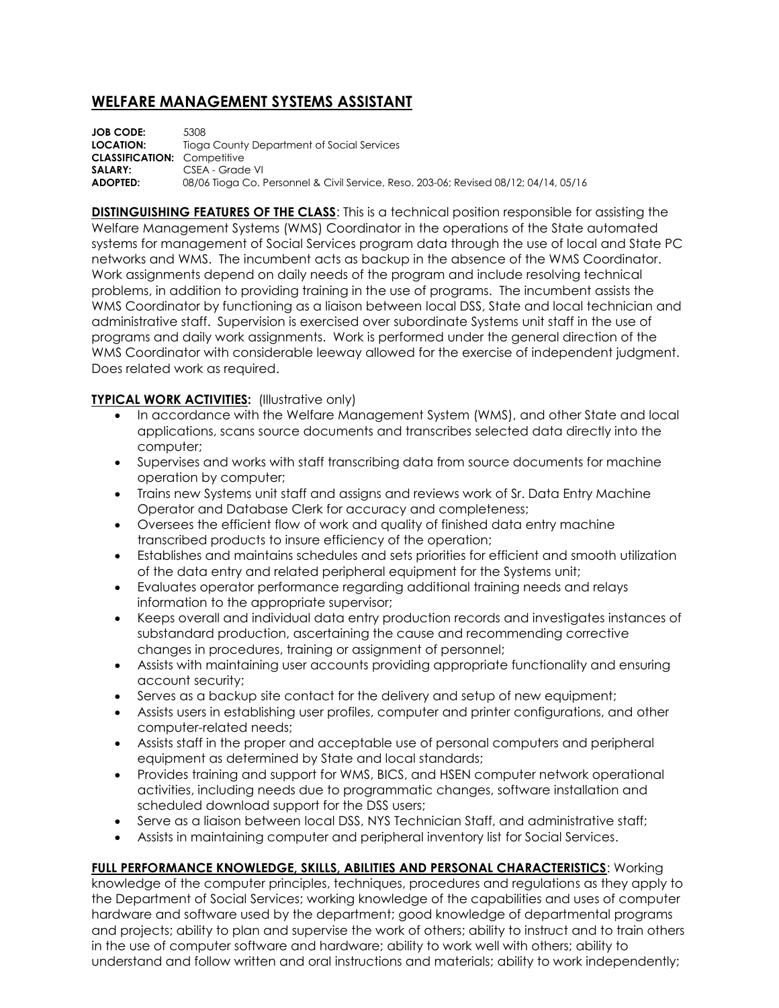## **WELFARE MANAGEMENT SYSTEMS ASSISTANT**

**JOB CODE:** 5308 **LOCATION:** Tioga County Department of Social Services **CLASSIFICATION:** Competitive **SALARY:** CSEA - Grade VI **ADOPTED:** 08/06 Tioga Co. Personnel & Civil Service, Reso. 203-06; Revised 08/12; 04/14, 05/16

**DISTINGUISHING FEATURES OF THE CLASS**: This is a technical position responsible for assisting the Welfare Management Systems (WMS) Coordinator in the operations of the State automated systems for management of Social Services program data through the use of local and State PC networks and WMS. The incumbent acts as backup in the absence of the WMS Coordinator. Work assignments depend on daily needs of the program and include resolving technical problems, in addition to providing training in the use of programs. The incumbent assists the WMS Coordinator by functioning as a liaison between local DSS, State and local technician and administrative staff. Supervision is exercised over subordinate Systems unit staff in the use of programs and daily work assignments. Work is performed under the general direction of the WMS Coordinator with considerable leeway allowed for the exercise of independent judgment. Does related work as required.

## **TYPICAL WORK ACTIVITIES:** (Illustrative only)

- In accordance with the Welfare Management System (WMS), and other State and local applications, scans source documents and transcribes selected data directly into the computer;
- Supervises and works with staff transcribing data from source documents for machine operation by computer;
- Trains new Systems unit staff and assigns and reviews work of Sr. Data Entry Machine Operator and Database Clerk for accuracy and completeness;
- Oversees the efficient flow of work and quality of finished data entry machine transcribed products to insure efficiency of the operation;
- Establishes and maintains schedules and sets priorities for efficient and smooth utilization of the data entry and related peripheral equipment for the Systems unit;
- Evaluates operator performance regarding additional training needs and relays information to the appropriate supervisor;
- Keeps overall and individual data entry production records and investigates instances of substandard production, ascertaining the cause and recommending corrective changes in procedures, training or assignment of personnel;
- Assists with maintaining user accounts providing appropriate functionality and ensuring account security;
- Serves as a backup site contact for the delivery and setup of new equipment;
- Assists users in establishing user profiles, computer and printer configurations, and other computer-related needs;
- Assists staff in the proper and acceptable use of personal computers and peripheral equipment as determined by State and local standards;
- Provides training and support for WMS, BICS, and HSEN computer network operational activities, including needs due to programmatic changes, software installation and scheduled download support for the DSS users;
- Serve as a liaison between local DSS, NYS Technician Staff, and administrative staff;
- Assists in maintaining computer and peripheral inventory list for Social Services.

## **FULL PERFORMANCE KNOWLEDGE, SKILLS, ABILITIES AND PERSONAL CHARACTERISTICS**: Working

knowledge of the computer principles, techniques, procedures and regulations as they apply to the Department of Social Services; working knowledge of the capabilities and uses of computer hardware and software used by the department; good knowledge of departmental programs and projects; ability to plan and supervise the work of others; ability to instruct and to train others in the use of computer software and hardware; ability to work well with others; ability to understand and follow written and oral instructions and materials; ability to work independently;